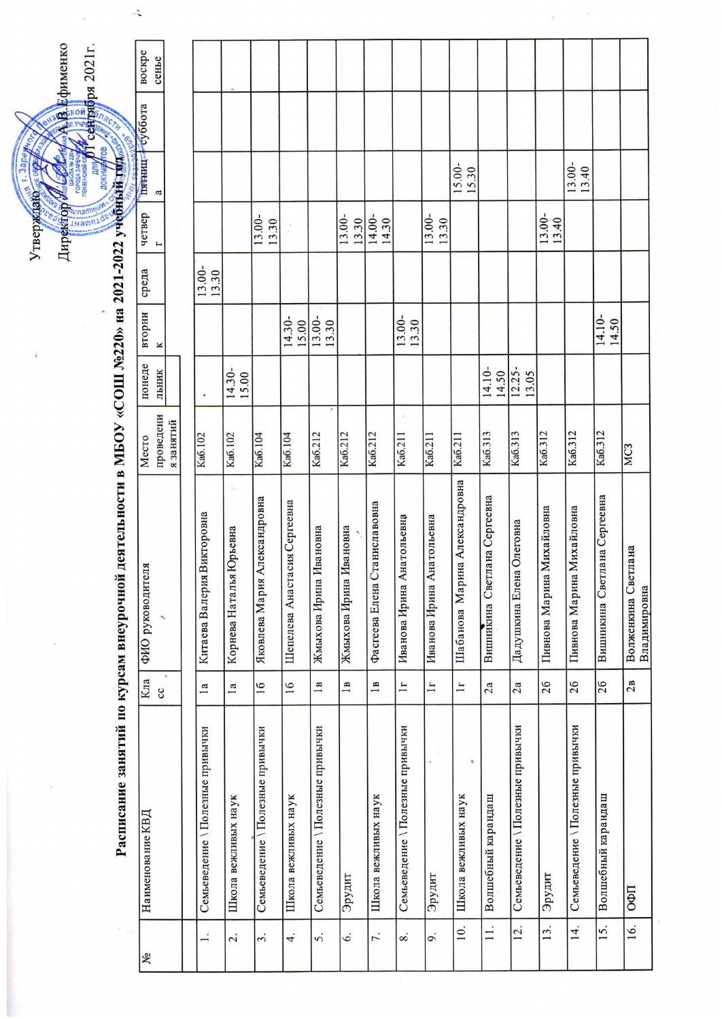|        | фименко | <b>Бря 2021г.</b> |                           |
|--------|---------|-------------------|---------------------------|
|        |         |                   |                           |
| Утвер; | ÌЧh     |                   | LICELLE<br>$1 - 2022$ vye |
|        |         |                   |                           |

 $\mathbf{r}$ 

 $\frac{1}{2}$ 

Расписание занятий по курсам внеурочной деятельности в МБОУ «СОШ №220» на 2021

| ೩                 | Наименование КВД                 | Кла                     | ФИО руководителя                    | Место                | понеде             | вторни          | среда           | четвер          | пятниц суббота  | воскре |
|-------------------|----------------------------------|-------------------------|-------------------------------------|----------------------|--------------------|-----------------|-----------------|-----------------|-----------------|--------|
|                   |                                  | <b>SO</b>               |                                     | проведени            | льник              | K               |                 |                 | a               | сенье  |
|                   |                                  |                         |                                     | я занятий            |                    |                 |                 |                 |                 |        |
|                   |                                  |                         |                                     |                      |                    |                 |                 |                 |                 |        |
|                   | Семьеведение \Полезные привычки  | 1a                      | Китаева Валерия Викторовна          | Ka <sub>6.102</sub>  |                    |                 | 13.00-<br>13.30 |                 |                 |        |
| 2.                | Школа вежливых наук              | $\overline{\mathbf{a}}$ | Корнева Наталья Юрьевна             | Ka <sub>6</sub> .102 | 14.30-<br>15.00    |                 |                 |                 |                 |        |
| $\dot{3}$         | Семьеведение \ Полезные привычки | 16                      | Александровна<br>Яковлева Мария     | Ka <sub>6</sub> .104 |                    |                 |                 | 13.00-<br>13.30 |                 |        |
| 4.                | Школа вежливых наук              | 16                      | Шепелева Анастасия Сергеевна        | Ka <sub>6</sub> .104 |                    | 14.30-<br>15.00 |                 |                 |                 |        |
| 5.                | Семьеведение \ Полезные привычки | $\overline{1}$          | Ивановна<br>Жмыхова Ирина           | Ka6.212              |                    | 13.00-<br>13.30 |                 |                 |                 |        |
| $\dot{\circ}$     | Эрудит                           | $\mathbf{a}$            | Ивановна<br>Жмыхова Ирина           | Ka6.212              |                    |                 |                 | 13.00-<br>13.30 |                 |        |
| 7.                | Школа вежливых наук              | $\mathbf{a}$            | Станиславовна<br>Фасгеева Елена     | Ka6.212              |                    |                 |                 | 14.00-<br>14.30 |                 |        |
| 8.                | Семьеведение \Полезные привычки  | $\mathbf{H}$            | Анатольевна<br>Иванова Ирина        | Ka6.211              |                    | 13.00-<br>13.30 |                 |                 |                 |        |
| o.                | Эрудит                           | $\mathbf{L}$            | Анатольевна<br>Иванова Ирина        | Ka6.211              |                    |                 |                 | 13.00-<br>13.30 |                 |        |
| $\overline{10}$ . | ۰<br>Школа вежливых наук         | $\mathbf{I}$            | Шабанова Марина Александровна       | Ka6.211              |                    |                 |                 |                 | 15.00-<br>15.30 |        |
| $\mathbf{I}$      | Волшебный карандаш               | 2a                      | Вишникина Светлана Сергеевна        | Ka6.313              | 14.10-<br>14.50    |                 |                 |                 |                 |        |
| 12.               | Семьеведение \Полезные привычки  | 2a                      | Дадушкина Елена Олеговна            | Ka6.313              | $12.25 -$<br>13.05 |                 |                 |                 |                 |        |
| 13.               | Эрудит                           | 26                      | Пивнова Марина Михайловна           | Ka6.312              |                    |                 |                 | 13.00-<br>13.40 |                 |        |
| 14.               | Семьеведение \Полезные привычки  | 26                      | Пивнова Марина Михайловна           | Ka6.312              |                    |                 |                 |                 | 13.00-<br>13.40 |        |
| 15.               | Волшебный карандаш               | 26                      | Вишникина Светлана Сергеевна        | Ka6.312              |                    | 14.10-<br>14.50 |                 |                 |                 |        |
| 16.               | ОФП                              | 2B                      | Волженкина Светлана<br>Владимировна | MC3                  |                    |                 |                 |                 |                 |        |

 $\overline{\phantom{a}}$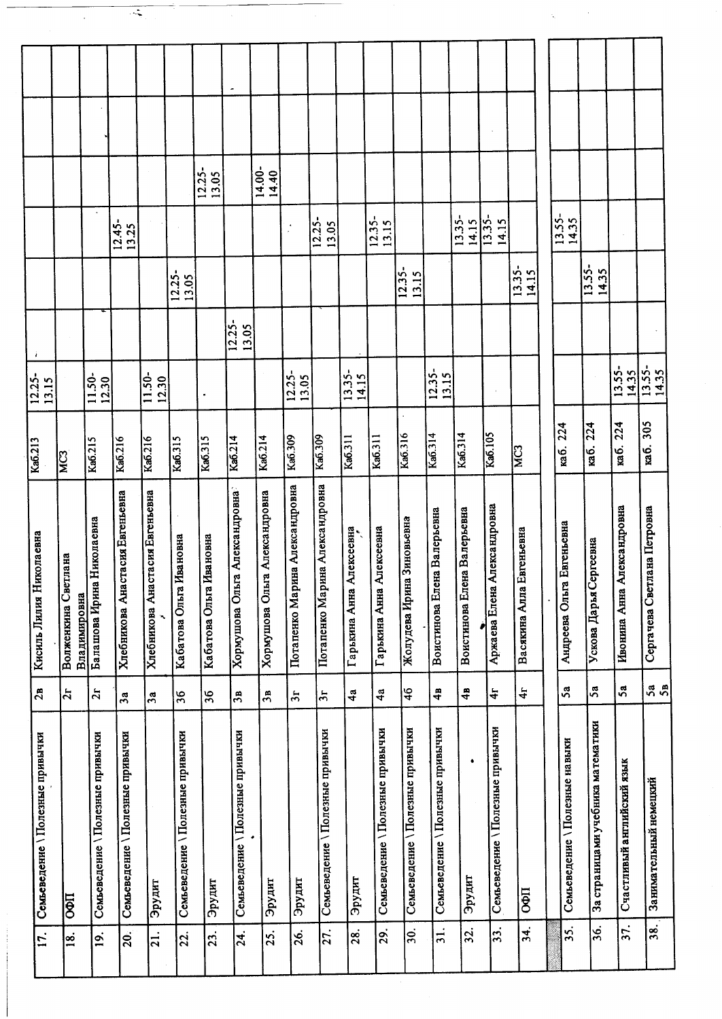| ۰<br>14.00-<br>$12.25 -$<br>14.40<br>13.05<br>$13.35 -$<br>12.35-<br>13.15<br>$12.25 -$<br>$12.45 -$<br>13.05<br>13.25 |
|------------------------------------------------------------------------------------------------------------------------|
| $13.55 -$<br>13.35-<br>14.35<br>14.15<br>14.15                                                                         |
|                                                                                                                        |
|                                                                                                                        |
|                                                                                                                        |
|                                                                                                                        |
|                                                                                                                        |
|                                                                                                                        |
|                                                                                                                        |
|                                                                                                                        |
|                                                                                                                        |
|                                                                                                                        |
|                                                                                                                        |
|                                                                                                                        |
|                                                                                                                        |
|                                                                                                                        |
|                                                                                                                        |

 $\overline{\cdot}$ 

 $\sim 10^7$ 

 $\label{eq:1} \frac{1}{\sqrt{2\pi}}\sum_{i=1}^n\frac{1}{\sqrt{2\pi}}\left(\frac{1}{\sqrt{2\pi}}\right)^2\frac{1}{\sqrt{2\pi}}\left(\frac{1}{\sqrt{2\pi}}\right)^2.$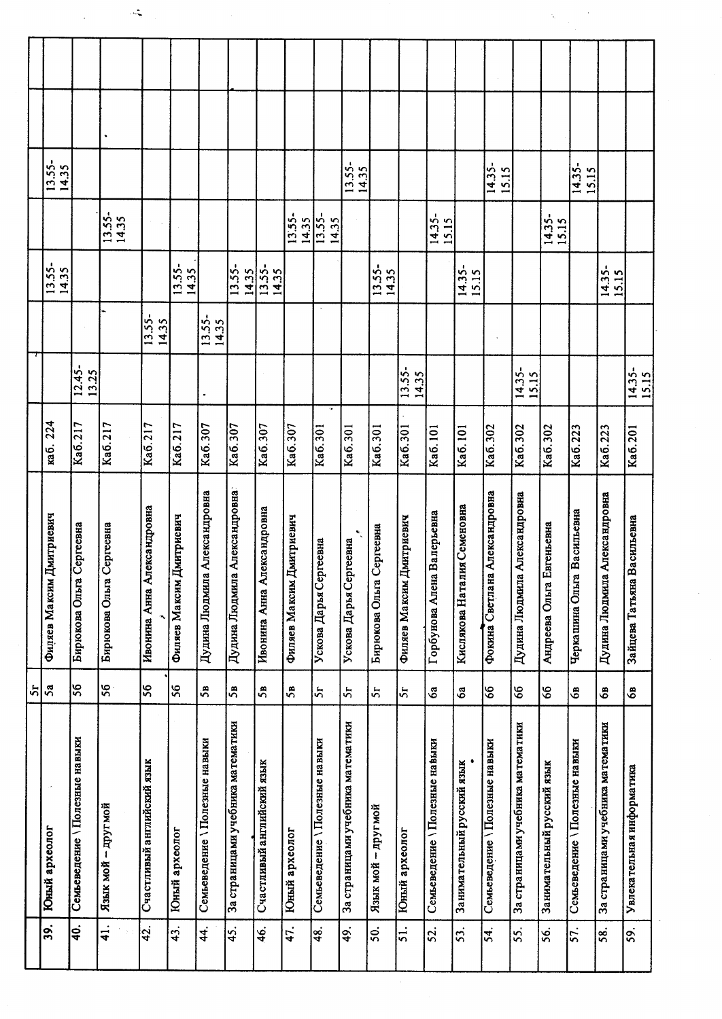|    |                             |                                | ٠                           |                            |                             |                                  |                                   |                            |                             |                               |                                   |                             |                             |                               |                             |                               |                                   |                              |                               |                                   |                               |
|----|-----------------------------|--------------------------------|-----------------------------|----------------------------|-----------------------------|----------------------------------|-----------------------------------|----------------------------|-----------------------------|-------------------------------|-----------------------------------|-----------------------------|-----------------------------|-------------------------------|-----------------------------|-------------------------------|-----------------------------------|------------------------------|-------------------------------|-----------------------------------|-------------------------------|
|    | 13.55-<br>14.35             |                                |                             |                            |                             |                                  |                                   |                            |                             |                               | $13.55 -$<br>14.35                |                             |                             |                               |                             | $\overline{14.35}$ -<br>15.15 |                                   |                              | $14.35 -$<br>15.15            |                                   |                               |
|    |                             |                                | 13.55-<br>14.35             |                            |                             |                                  |                                   |                            | 13.55-<br>14.35             | $13.55 -$<br>14.35            |                                   |                             |                             | 14.35-                        |                             |                               |                                   | 14.35-<br>15.15              |                               |                                   |                               |
|    | 13.55-<br>14.35             |                                |                             |                            | 13.55-                      |                                  | 13.55-<br>14.35                   | 13.55-                     |                             |                               |                                   | 13.55-<br>14.35             |                             |                               | 14.35-<br>15.15             |                               |                                   |                              |                               | $\frac{14.35-}{2}$<br>15.15       |                               |
|    |                             |                                |                             | $13.55 -$<br>14.35         |                             | 13.55-<br>14.35                  |                                   |                            |                             |                               |                                   |                             |                             |                               |                             |                               |                                   |                              |                               |                                   |                               |
|    |                             | $12.45 -$<br>13.25             |                             |                            |                             |                                  |                                   |                            |                             |                               |                                   |                             | $13.55 -$<br>14.35          |                               |                             |                               | $14.35 -$<br>15.15                |                              |                               |                                   | $\overline{14.35}$ -<br>15.15 |
|    | 224<br><b>ka6.</b>          | Ka6.217                        | Ka6.217                     | Ka6.217                    | Ka6.217                     | Ka6.307                          | Ka6.307                           | Ka6.307                    | Ka6.307                     | Ka6.301                       | Ka6.301                           | Ka6.301                     | Ka6.301                     | Ka6.101                       | Ka <sub>6.101</sub>         | Ka6.302                       | Ka6.302                           | Ka6.302                      | Ka6.223                       | Ka6.223                           | Ka6.201                       |
|    | Дмитриевич<br>Филяев Максим | Сергеевна<br>Бирюкова Ольга    | Сергеевна<br>Бирюкова Ольга | Ивонина Анна Александровна | Дмитриевич<br>Филяев Максим | а Александровна<br>Дудина Людмил | Дудина Людмила Александровна      | Ивонина Анна Александровна | Дмитриевич<br>Филяев Максим | Ускова Дарья Сергеевна        | Ускова Дарья Сергеевна            | Сергеевна<br>Бирюкова Ольга | Дмитриевич<br>Филяев Максим | Горбунова Алена Валерьевна    | Кислякова Наталия Семеновна | Фокина Светлана Александровна | Дудина Людмила Александровна      | Евгеньевна<br>Андреева Ольга | Черкашина Ольга Васильевна    | Дудина Людмила Александровна      | Васильевна<br>Зайцева Татьяна |
| 51 | 5a                          | 56                             | 56                          | $\overline{5}$             | 86                          | 58                               | 58                                | 5Å                         | 58                          | 55                            | 5 <sub>r</sub>                    | 5r                          | 5r                          | Ś <sub>a</sub>                | 6a                          | 89                            | 99                                | 66                           | යි                            | යි                                | රී                            |
|    | Юный археолог               | Семьеведение \Полезные на выки | Язык мой - другмой          | Счастливый английский язык | Юный археолог               | Семьеведение \Полезные навыки    | За страницами учебника математики | Счастливый английский язык | Юный археолог               | Семьеведение \Полезные навыки | За страницами учебника математики | Язык мой – другмой          | Юный археолог               | Семьеведение \Полезные навыки | Занимательный русский язык  | Семьеведение \Полезные навыки | За страницами учебника математики | Занимательный русский язык   | Семьеведение \Полезные навыки | За страницами учебника математики | Увлека тельная информатика    |
|    | 39.                         | $\ddot{a}$                     | $\frac{1}{4}$               | 42.                        | 43.                         | 44.                              | 45.                               | 46.                        | 47.                         | 48.                           | 49.                               | 50.                         | 51.                         | 52.                           | 53.                         | 54.                           | 55.                               | 56.                          | 57.                           | 58.                               | 59.                           |

 $\label{eq:1} \left\langle \hat{\mathbf{x}}_{\text{max}}^{\text{max}}\right\rangle =\hat{\mathbf{y}}_{\text{max}}^{\text{max}}$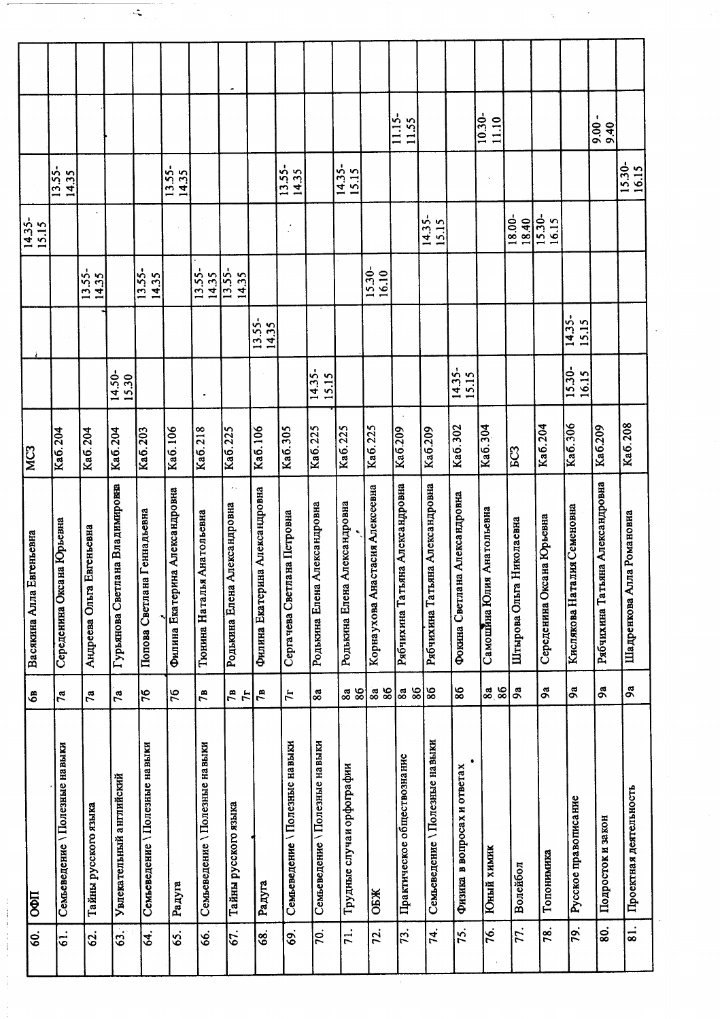|                          |                                |                              |                                     |                                |                                |                                 |                                                     |                                |                                 |                                 |                                 |                                     | 11.15-<br>11.55                     |                                 |                               | $10.30 -$<br>11.10        |                             |                             |                                 | t<br>9.40                       |                           |
|--------------------------|--------------------------------|------------------------------|-------------------------------------|--------------------------------|--------------------------------|---------------------------------|-----------------------------------------------------|--------------------------------|---------------------------------|---------------------------------|---------------------------------|-------------------------------------|-------------------------------------|---------------------------------|-------------------------------|---------------------------|-----------------------------|-----------------------------|---------------------------------|---------------------------------|---------------------------|
|                          | 13.55-<br>14.35                |                              |                                     |                                | 13.55-<br>14.35                |                                 |                                                     |                                | $13.55 -$<br>14.35              |                                 | $14.35 -$<br>15.15              |                                     |                                     |                                 |                               |                           |                             |                             |                                 |                                 | 15.30-<br>16.15           |
| $\frac{14.35}{15.15}$    |                                |                              |                                     |                                |                                |                                 |                                                     |                                | $\bullet$                       |                                 |                                 |                                     |                                     | $14.35 -$<br>15.15              |                               |                           | 18.00-<br>18.40             | 15.30-<br>16.15             |                                 |                                 |                           |
|                          |                                | 13.55-<br>14.35              |                                     | 13.55-<br>14.35                |                                | $13.55 -$<br>14.35              | $13.55 -$<br>14.35                                  |                                |                                 |                                 |                                 | $15.30-$<br>16.10                   |                                     |                                 |                               |                           |                             |                             |                                 |                                 |                           |
|                          |                                |                              |                                     |                                |                                |                                 |                                                     | 13.55-<br>14.35                |                                 |                                 |                                 |                                     |                                     |                                 |                               |                           |                             |                             | $\sqrt{14.35}$<br>15.15         |                                 |                           |
|                          |                                |                              | 14.50-<br>15.30                     |                                |                                |                                 |                                                     |                                |                                 | $\overline{14.35}$ -<br>15.15   |                                 |                                     |                                     |                                 | $14.35-$<br>15.15             |                           |                             |                             | $15.30-$<br>16.15               |                                 |                           |
| MC <sub>3</sub>          | Ka6.204                        | Ka6.204                      | Ka6.204                             | Ka6.203                        | Ka6.106                        | Ka6.218                         | $\overline{\text{Ka6.225}}$                         | Ka6.106                        | Ka6.305                         | Ka6.225                         | Ka6.225                         | Ka6.225                             | Ka6.209                             | Ka6.209                         | Ka6.302                       | Ka6.304                   | EC3                         | Ka6.204                     | $\overline{\text{Ka6.306}}$     | Ka6.209                         | Ka <sub>6.208</sub>       |
| Васякина Алла Евгеньевна | Середенина Оксана Юрьевна      | Евгеньевна<br>Андреева Ольга | ана Владимировна<br>Гурьянова Светл | Попова Светлана Геннадьевна    | Филина Екатерина Александровна | Тюнина Наталья Анатольевна      | $\tau_{\rm eff}$<br>Александровна<br>Родькина Елена | Филина Екатерина Александровна | ана Петровна<br>Сергачева Светл | Александровна<br>Родькина Елена | Александровна<br>Родькина Елена | стасия Алексеевна<br>Корнаухова Ана | яна Александровна<br>Рябчихина Тать | Рябчихина Татьяна Александровна | Фокина Светлана Александровна | Самошина Юлия Анатольевна | Николаевна<br>Штырова Ольга | Середенина Оксана Юрьевна   | лия Семеновна<br>Кислякова Ната | Рябчихина Татьяна Александровна | Шадренкова Алла Романовна |
| తి                       | 7a                             | $\mathbf{z}$                 | $\mathbf{r}_a$                      | 76                             | 76                             | 78                              | $\frac{1}{2}$                                       | 7B                             | <b>H</b>                        | 8a                              | 88<br>86                        | $\frac{3}{8}$                       | 86<br>8a                            | 86                              | 86                            | $\frac{38}{86}$           | 9a                          | $\boldsymbol{\mathfrak{a}}$ | $\mathbf{a}$                    | ೩                               | <b>SQ</b>                 |
| <b>U</b> ¢O              | Семьеведение \ Полезные навыки | Тайны русского языка         | Увлекательный английский            | Семьеведение \Полезные на выки | Радуга                         | Семьеведение \ Полезные на выки | Тайны русского языка                                | Радуга                         | Семьеведение \Полезные навыки   | Семьеведение \Полезные на выки  | Трудные случаи орфографии       | OEЖ                                 | Практическое обществознание         | Семьеведение \Полезные навыки   | Физика в вопросах и ответах   | Юный химик                | Волейбол                    | Топонимика                  | Русское правописание            | Подросток и закон               | Проектная деятельность    |
| Ś.                       | $\dot{5}$                      | 62.                          | 63.                                 | 54.                            | 65.                            | <u>ی</u>                        | 67.                                                 | 68.                            | 69.                             | $\overline{70}$ .               | 71.                             | 72.                                 | 73.                                 | 74.                             | 75.                           | 76.                       | 77.                         | 78.                         | 79.                             | 80.                             | 81.                       |

 $\mathcal{A}$ 

 $\ddot{\phantom{1}}$ 

 $\sim$